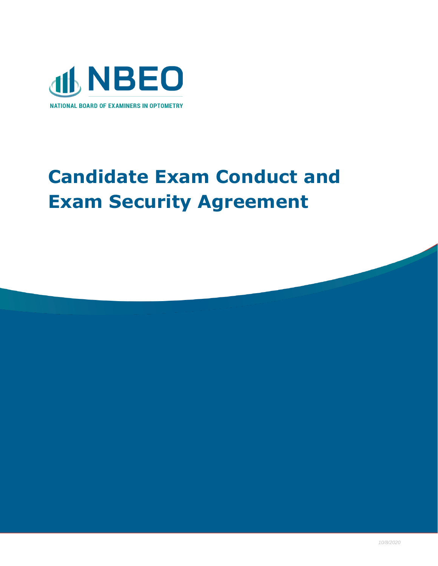

## **Candidate Exam Conduct and Exam Security Agreement**

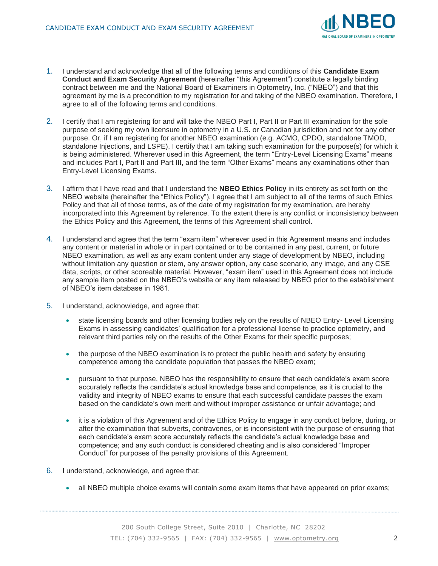

- 1. I understand and acknowledge that all of the following terms and conditions of this **Candidate Exam Conduct and Exam Security Agreement** (hereinafter "this Agreement") constitute a legally binding contract between me and the National Board of Examiners in Optometry, Inc. ("NBEO") and that this agreement by me is a precondition to my registration for and taking of the NBEO examination. Therefore, I agree to all of the following terms and conditions.
- 2. I certify that I am registering for and will take the NBEO Part I, Part II or Part III examination for the sole purpose of seeking my own licensure in optometry in a U.S. or Canadian jurisdiction and not for any other purpose. Or, if I am registering for another NBEO examination (e.g. ACMO, CPDO, standalone TMOD, standalone Injections, and LSPE), I certify that I am taking such examination for the purpose(s) for which it is being administered. Wherever used in this Agreement, the term "Entry-Level Licensing Exams" means and includes Part I, Part II and Part III, and the term "Other Exams" means any examinations other than Entry-Level Licensing Exams.
- 3. I affirm that I have read and that I understand the **NBEO Ethics Policy** in its entirety as set forth on the NBEO website (hereinafter the "Ethics Policy"). I agree that I am subject to all of the terms of such Ethics Policy and that all of those terms, as of the date of my registration for my examination, are hereby incorporated into this Agreement by reference. To the extent there is any conflict or inconsistency between the Ethics Policy and this Agreement, the terms of this Agreement shall control.
- 4. I understand and agree that the term "exam item" wherever used in this Agreement means and includes any content or material in whole or in part contained or to be contained in any past, current, or future NBEO examination, as well as any exam content under any stage of development by NBEO, including without limitation any question or stem, any answer option, any case scenario, any image, and any CSE data, scripts, or other scoreable material. However, "exam item" used in this Agreement does not include any sample item posted on the NBEO's website or any item released by NBEO prior to the establishment of NBEO's item database in 1981.
- 5. I understand, acknowledge, and agree that:
	- state licensing boards and other licensing bodies rely on the results of NBEO Entry-Level Licensing Exams in assessing candidates' qualification for a professional license to practice optometry, and relevant third parties rely on the results of the Other Exams for their specific purposes;
	- the purpose of the NBEO examination is to protect the public health and safety by ensuring competence among the candidate population that passes the NBEO exam;
	- pursuant to that purpose, NBEO has the responsibility to ensure that each candidate's exam score accurately reflects the candidate's actual knowledge base and competence, as it is crucial to the validity and integrity of NBEO exams to ensure that each successful candidate passes the exam based on the candidate's own merit and without improper assistance or unfair advantage; and
	- it is a violation of this Agreement and of the Ethics Policy to engage in any conduct before, during, or after the examination that subverts, contravenes, or is inconsistent with the purpose of ensuring that each candidate's exam score accurately reflects the candidate's actual knowledge base and competence; and any such conduct is considered cheating and is also considered "Improper Conduct" for purposes of the penalty provisions of this Agreement.
- 6. I understand, acknowledge, and agree that:
	- all NBEO multiple choice exams will contain some exam items that have appeared on prior exams;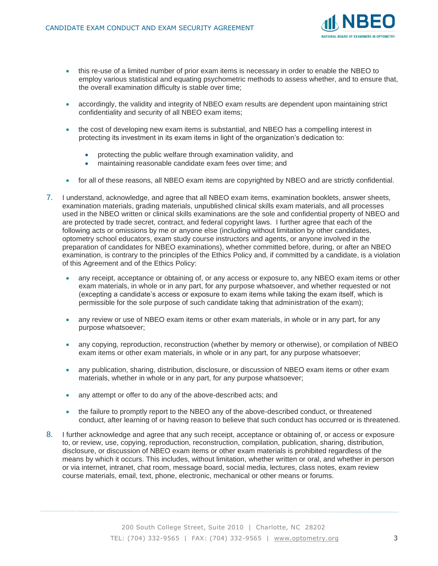

- this re-use of a limited number of prior exam items is necessary in order to enable the NBEO to employ various statistical and equating psychometric methods to assess whether, and to ensure that, the overall examination difficulty is stable over time;
- accordingly, the validity and integrity of NBEO exam results are dependent upon maintaining strict confidentiality and security of all NBEO exam items;
- the cost of developing new exam items is substantial, and NBEO has a compelling interest in protecting its investment in its exam items in light of the organization's dedication to:
	- protecting the public welfare through examination validity, and
	- maintaining reasonable candidate exam fees over time; and
- for all of these reasons, all NBEO exam items are copyrighted by NBEO and are strictly confidential.
- 7. I understand, acknowledge, and agree that all NBEO exam items, examination booklets, answer sheets, examination materials, grading materials, unpublished clinical skills exam materials, and all processes used in the NBEO written or clinical skills examinations are the sole and confidential property of NBEO and are protected by trade secret, contract, and federal copyright laws. I further agree that each of the following acts or omissions by me or anyone else (including without limitation by other candidates, optometry school educators, exam study course instructors and agents, or anyone involved in the preparation of candidates for NBEO examinations), whether committed before, during, or after an NBEO examination, is contrary to the principles of the Ethics Policy and, if committed by a candidate, is a violation of this Agreement and of the Ethics Policy:
	- any receipt, acceptance or obtaining of, or any access or exposure to, any NBEO exam items or other exam materials, in whole or in any part, for any purpose whatsoever, and whether requested or not (excepting a candidate's access or exposure to exam items while taking the exam itself, which is permissible for the sole purpose of such candidate taking that administration of the exam);
	- any review or use of NBEO exam items or other exam materials, in whole or in any part, for any purpose whatsoever;
	- any copying, reproduction, reconstruction (whether by memory or otherwise), or compilation of NBEO exam items or other exam materials, in whole or in any part, for any purpose whatsoever;
	- any publication, sharing, distribution, disclosure, or discussion of NBEO exam items or other exam materials, whether in whole or in any part, for any purpose whatsoever;
	- any attempt or offer to do any of the above-described acts; and
	- the failure to promptly report to the NBEO any of the above-described conduct, or threatened conduct, after learning of or having reason to believe that such conduct has occurred or is threatened.
- 8. I further acknowledge and agree that any such receipt, acceptance or obtaining of, or access or exposure to, or review, use, copying, reproduction, reconstruction, compilation, publication, sharing, distribution, disclosure, or discussion of NBEO exam items or other exam materials is prohibited regardless of the means by which it occurs. This includes, without limitation, whether written or oral, and whether in person or via internet, intranet, chat room, message board, social media, lectures, class notes, exam review course materials, email, text, phone, electronic, mechanical or other means or forums.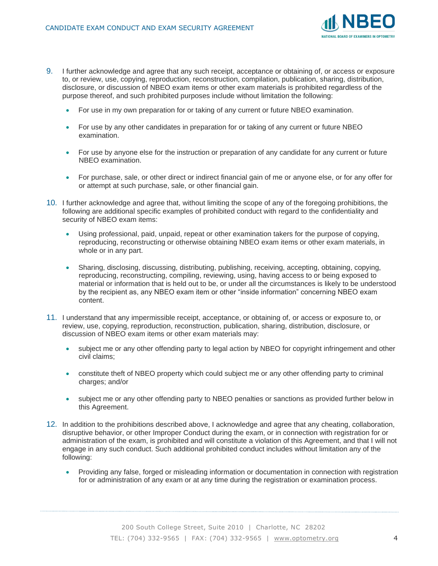

- 9. I further acknowledge and agree that any such receipt, acceptance or obtaining of, or access or exposure to, or review, use, copying, reproduction, reconstruction, compilation, publication, sharing, distribution, disclosure, or discussion of NBEO exam items or other exam materials is prohibited regardless of the purpose thereof, and such prohibited purposes include without limitation the following:
	- For use in my own preparation for or taking of any current or future NBEO examination.
	- For use by any other candidates in preparation for or taking of any current or future NBEO examination.
	- For use by anyone else for the instruction or preparation of any candidate for any current or future NBEO examination.
	- For purchase, sale, or other direct or indirect financial gain of me or anyone else, or for any offer for or attempt at such purchase, sale, or other financial gain.
- 10. I further acknowledge and agree that, without limiting the scope of any of the foregoing prohibitions, the following are additional specific examples of prohibited conduct with regard to the confidentiality and security of NBEO exam items:
	- Using professional, paid, unpaid, repeat or other examination takers for the purpose of copying, reproducing, reconstructing or otherwise obtaining NBEO exam items or other exam materials, in whole or in any part.
	- Sharing, disclosing, discussing, distributing, publishing, receiving, accepting, obtaining, copying, reproducing, reconstructing, compiling, reviewing, using, having access to or being exposed to material or information that is held out to be, or under all the circumstances is likely to be understood by the recipient as, any NBEO exam item or other "inside information" concerning NBEO exam content.
- 11. I understand that any impermissible receipt, acceptance, or obtaining of, or access or exposure to, or review, use, copying, reproduction, reconstruction, publication, sharing, distribution, disclosure, or discussion of NBEO exam items or other exam materials may:
	- subject me or any other offending party to legal action by NBEO for copyright infringement and other civil claims;
	- constitute theft of NBEO property which could subject me or any other offending party to criminal charges; and/or
	- subject me or any other offending party to NBEO penalties or sanctions as provided further below in this Agreement.
- 12. In addition to the prohibitions described above, I acknowledge and agree that any cheating, collaboration, disruptive behavior, or other Improper Conduct during the exam, or in connection with registration for or administration of the exam, is prohibited and will constitute a violation of this Agreement, and that I will not engage in any such conduct. Such additional prohibited conduct includes without limitation any of the following:
	- Providing any false, forged or misleading information or documentation in connection with registration for or administration of any exam or at any time during the registration or examination process.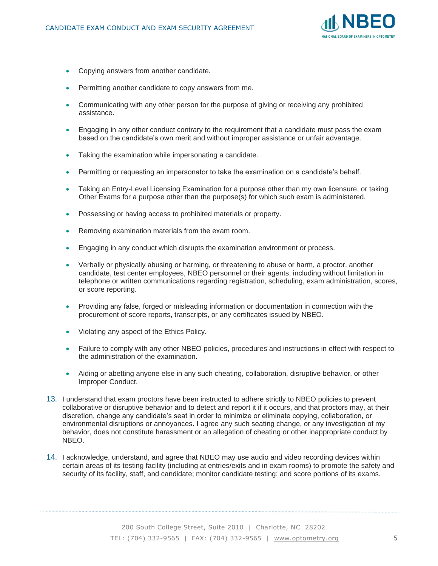

- Copying answers from another candidate.
- Permitting another candidate to copy answers from me.
- Communicating with any other person for the purpose of giving or receiving any prohibited assistance.
- Engaging in any other conduct contrary to the requirement that a candidate must pass the exam based on the candidate's own merit and without improper assistance or unfair advantage.
- Taking the examination while impersonating a candidate.
- Permitting or requesting an impersonator to take the examination on a candidate's behalf.
- Taking an Entry-Level Licensing Examination for a purpose other than my own licensure, or taking Other Exams for a purpose other than the purpose(s) for which such exam is administered.
- Possessing or having access to prohibited materials or property.
- Removing examination materials from the exam room.
- Engaging in any conduct which disrupts the examination environment or process.
- Verbally or physically abusing or harming, or threatening to abuse or harm, a proctor, another candidate, test center employees, NBEO personnel or their agents, including without limitation in telephone or written communications regarding registration, scheduling, exam administration, scores, or score reporting.
- Providing any false, forged or misleading information or documentation in connection with the procurement of score reports, transcripts, or any certificates issued by NBEO.
- Violating any aspect of the Ethics Policy.
- Failure to comply with any other NBEO policies, procedures and instructions in effect with respect to the administration of the examination.
- Aiding or abetting anyone else in any such cheating, collaboration, disruptive behavior, or other Improper Conduct.
- 13. I understand that exam proctors have been instructed to adhere strictly to NBEO policies to prevent collaborative or disruptive behavior and to detect and report it if it occurs, and that proctors may, at their discretion, change any candidate's seat in order to minimize or eliminate copying, collaboration, or environmental disruptions or annoyances. I agree any such seating change, or any investigation of my behavior, does not constitute harassment or an allegation of cheating or other inappropriate conduct by NBEO.
- 14. I acknowledge, understand, and agree that NBEO may use audio and video recording devices within certain areas of its testing facility (including at entries/exits and in exam rooms) to promote the safety and security of its facility, staff, and candidate; monitor candidate testing; and score portions of its exams.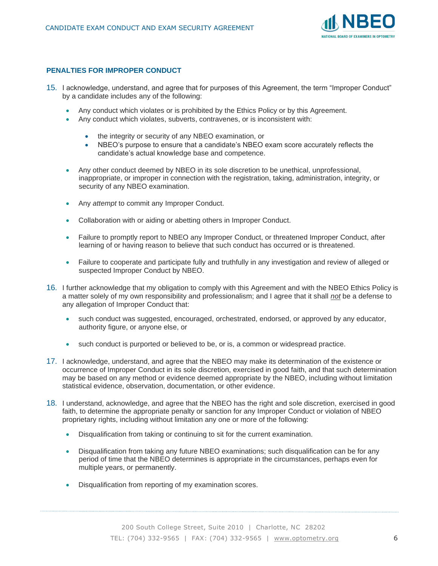

## **PENALTIES FOR IMPROPER CONDUCT**

- 15. I acknowledge, understand, and agree that for purposes of this Agreement, the term "Improper Conduct" by a candidate includes any of the following:
	- Any conduct which violates or is prohibited by the Ethics Policy or by this Agreement.
	- Any conduct which violates, subverts, contravenes, or is inconsistent with:
		- the integrity or security of any NBEO examination, or
		- NBEO's purpose to ensure that a candidate's NBEO exam score accurately reflects the candidate's actual knowledge base and competence.
	- Any other conduct deemed by NBEO in its sole discretion to be unethical, unprofessional, inappropriate, or improper in connection with the registration, taking, administration, integrity, or security of any NBEO examination.
	- Any *attempt* to commit any Improper Conduct.
	- Collaboration with or aiding or abetting others in Improper Conduct.
	- Failure to promptly report to NBEO any Improper Conduct, or threatened Improper Conduct, after learning of or having reason to believe that such conduct has occurred or is threatened.
	- Failure to cooperate and participate fully and truthfully in any investigation and review of alleged or suspected Improper Conduct by NBEO.
- 16. I further acknowledge that my obligation to comply with this Agreement and with the NBEO Ethics Policy is a matter solely of my own responsibility and professionalism; and I agree that it shall *not* be a defense to any allegation of Improper Conduct that:
	- such conduct was suggested, encouraged, orchestrated, endorsed, or approved by any educator, authority figure, or anyone else, or
	- such conduct is purported or believed to be, or is, a common or widespread practice.
- 17. I acknowledge, understand, and agree that the NBEO may make its determination of the existence or occurrence of Improper Conduct in its sole discretion, exercised in good faith, and that such determination may be based on any method or evidence deemed appropriate by the NBEO, including without limitation statistical evidence, observation, documentation, or other evidence.
- 18. I understand, acknowledge, and agree that the NBEO has the right and sole discretion, exercised in good faith, to determine the appropriate penalty or sanction for any Improper Conduct or violation of NBEO proprietary rights, including without limitation any one or more of the following:
	- Disqualification from taking or continuing to sit for the current examination.
	- Disqualification from taking any future NBEO examinations; such disqualification can be for any period of time that the NBEO determines is appropriate in the circumstances, perhaps even for multiple years, or permanently.
	- Disqualification from reporting of my examination scores.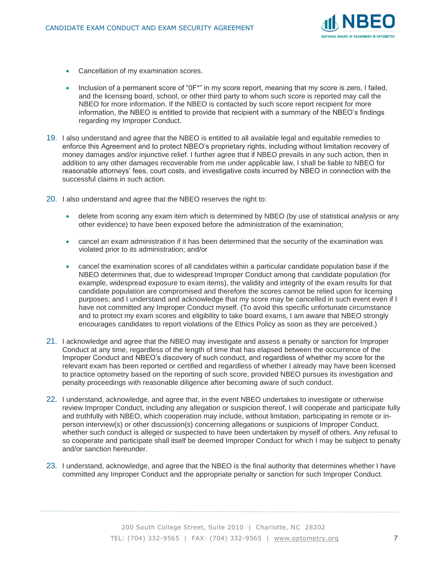

- Cancellation of my examination scores.
- Inclusion of a permanent score of "0F\*" in my score report, meaning that my score is zero, I failed, and the licensing board, school, or other third party to whom such score is reported may call the NBEO for more information. If the NBEO is contacted by such score report recipient for more information, the NBEO is entitled to provide that recipient with a summary of the NBEO's findings regarding my Improper Conduct.
- 19. I also understand and agree that the NBEO is entitled to all available legal and equitable remedies to enforce this Agreement and to protect NBEO's proprietary rights, including without limitation recovery of money damages and/or injunctive relief. I further agree that if NBEO prevails in any such action, then in addition to any other damages recoverable from me under applicable law, I shall be liable to NBEO for reasonable attorneys' fees, court costs, and investigative costs incurred by NBEO in connection with the successful claims in such action.
- 20. I also understand and agree that the NBEO reserves the right to:
	- delete from scoring any exam item which is determined by NBEO (by use of statistical analysis or any other evidence) to have been exposed before the administration of the examination;
	- cancel an exam administration if it has been determined that the security of the examination was violated prior to its administration; and/or
	- cancel the examination scores of all candidates within a particular candidate population base if the NBEO determines that, due to widespread Improper Conduct among that candidate population (for example, widespread exposure to exam items), the validity and integrity of the exam results for that candidate population are compromised and therefore the scores cannot be relied upon for licensing purposes; and I understand and acknowledge that my score may be cancelled in such event even if I have not committed any Improper Conduct myself. (To avoid this specific unfortunate circumstance and to protect my exam scores and eligibility to take board exams, I am aware that NBEO strongly encourages candidates to report violations of the Ethics Policy as soon as they are perceived.)
- 21. I acknowledge and agree that the NBEO may investigate and assess a penalty or sanction for Improper Conduct at any time, regardless of the length of time that has elapsed between the occurrence of the Improper Conduct and NBEO's discovery of such conduct, and regardless of whether my score for the relevant exam has been reported or certified and regardless of whether I already may have been licensed to practice optometry based on the reporting of such score, provided NBEO pursues its investigation and penalty proceedings with reasonable diligence after becoming aware of such conduct.
- 22. I understand, acknowledge, and agree that, in the event NBEO undertakes to investigate or otherwise review Improper Conduct, including any allegation or suspicion thereof, I will cooperate and participate fully and truthfully with NBEO, which cooperation may include, without limitation, participating in remote or inperson interview(s) or other discussion(s) concerning allegations or suspicions of Improper Conduct, whether such conduct is alleged or suspected to have been undertaken by myself of others. Any refusal to so cooperate and participate shall itself be deemed Improper Conduct for which I may be subject to penalty and/or sanction hereunder.
- 23. I understand, acknowledge, and agree that the NBEO is the final authority that determines whether I have committed any Improper Conduct and the appropriate penalty or sanction for such Improper Conduct.